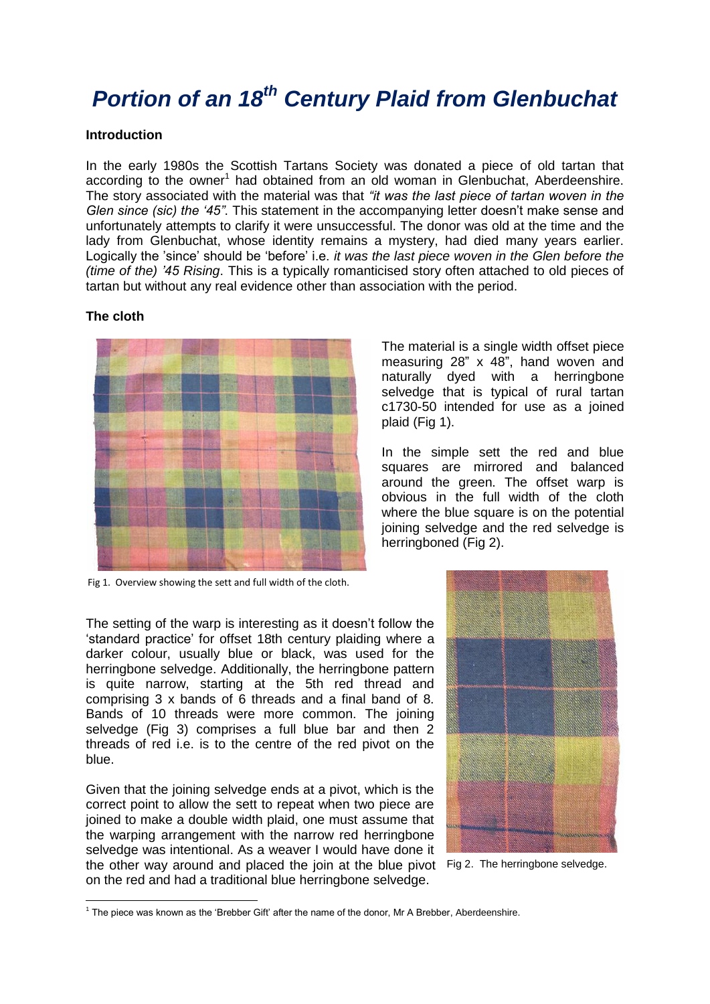## *Portion of an 18th Century Plaid from Glenbuchat*

## **Introduction**

In the early 1980s the Scottish Tartans Society was donated a piece of old tartan that according to the owner<sup>1</sup> had obtained from an old woman in Glenbuchat, Aberdeenshire. The story associated with the material was that *"it was the last piece of tartan woven in the Glen since (sic) the "45"*. This statement in the accompanying letter doesn't make sense and unfortunately attempts to clarify it were unsuccessful. The donor was old at the time and the lady from Glenbuchat, whose identity remains a mystery, had died many years earlier. Logically the 'since' should be 'before' i.e. *it was the last piece woven in the Glen before the (time of the) "45 Rising*. This is a typically romanticised story often attached to old pieces of tartan but without any real evidence other than association with the period.

## **The cloth**



Fig 1. Overview showing the sett and full width of the cloth.

The setting of the warp is interesting as it doesn't follow the 'standard practice' for offset 18th century plaiding where a darker colour, usually blue or black, was used for the herringbone selvedge. Additionally, the herringbone pattern is quite narrow, starting at the 5th red thread and comprising 3 x bands of 6 threads and a final band of 8. Bands of 10 threads were more common. The joining selvedge (Fig 3) comprises a full blue bar and then 2 threads of red i.e. is to the centre of the red pivot on the blue.

Given that the joining selvedge ends at a pivot, which is the correct point to allow the sett to repeat when two piece are joined to make a double width plaid, one must assume that the warping arrangement with the narrow red herringbone selvedge was intentional. As a weaver I would have done it the other way around and placed the join at the blue pivot Fig 2. The herringbone selvedge.on the red and had a traditional blue herringbone selvedge.



The material is a single width offset piece measuring 28" x 48", hand woven and naturally dyed with a herringbone selvedge that is typical of rural tartan c1730-50 intended for use as a joined

plaid (Fig 1).

In the simple sett the red and blue squares are mirrored and balanced around the green. The offset warp is obvious in the full width of the cloth where the blue square is on the potential joining selvedge and the red selvedge is herringboned (Fig 2).

**<sup>.</sup>** <sup>1</sup> The piece was known as the 'Brebber Gift' after the name of the donor, Mr A Brebber, Aberdeenshire.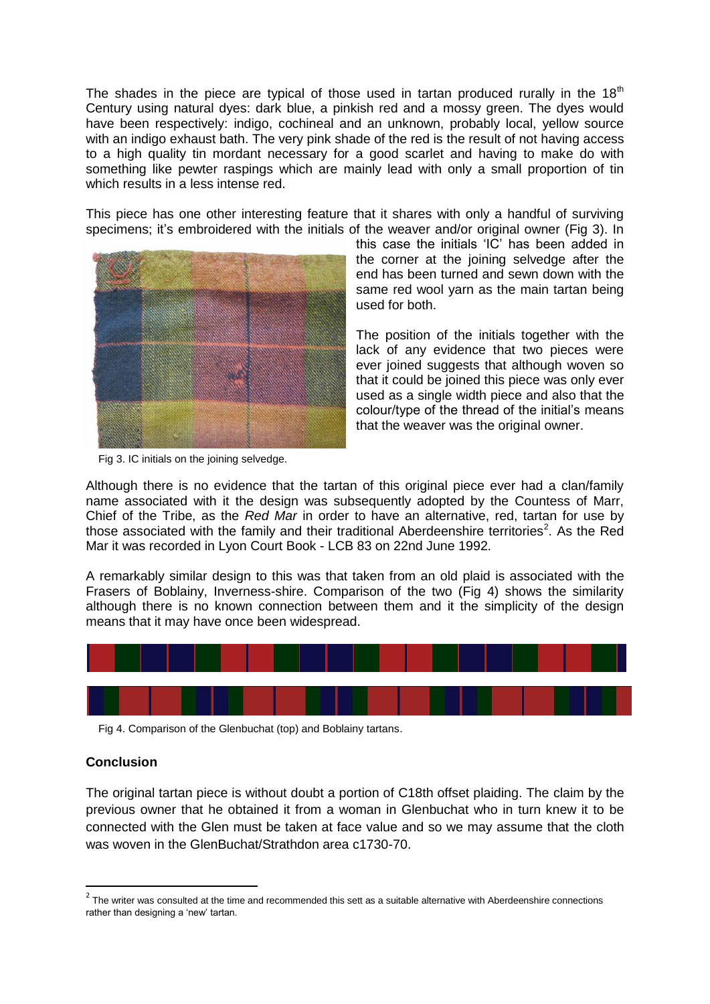The shades in the piece are typical of those used in tartan produced rurally in the  $18<sup>th</sup>$ Century using natural dyes: dark blue, a pinkish red and a mossy green. The dyes would have been respectively: indigo, cochineal and an unknown, probably local, yellow source with an indigo exhaust bath. The very pink shade of the red is the result of not having access to a high quality tin mordant necessary for a good scarlet and having to make do with something like pewter raspings which are mainly lead with only a small proportion of tin which results in a less intense red.

This piece has one other interesting feature that it shares with only a handful of surviving specimens; it's embroidered with the initials of the weaver and/or original owner (Fig 3). In



this case the initials 'IC' has been added in the corner at the joining selvedge after the end has been turned and sewn down with the same red wool yarn as the main tartan being used for both.

The position of the initials together with the lack of any evidence that two pieces were ever joined suggests that although woven so that it could be joined this piece was only ever used as a single width piece and also that the colour/type of the thread of the initial's means that the weaver was the original owner.

Fig 3. IC initials on the joining selvedge.

Although there is no evidence that the tartan of this original piece ever had a clan/family name associated with it the design was subsequently adopted by the Countess of Marr, Chief of the Tribe, as the *Red Mar* in order to have an alternative, red, tartan for use by those associated with the family and their traditional Aberdeenshire territories<sup>2</sup>. As the Red Mar it was recorded in Lyon Court Book - LCB 83 on 22nd June 1992.

A remarkably similar design to this was that taken from an old plaid is associated with the Frasers of Boblainy, Inverness-shire. Comparison of the two (Fig 4) shows the similarity although there is no known connection between them and it the simplicity of the design means that it may have once been widespread.



Fig 4. Comparison of the Glenbuchat (top) and Boblainy tartans.

## **Conclusion**

 $\overline{a}$ 

The original tartan piece is without doubt a portion of C18th offset plaiding. The claim by the previous owner that he obtained it from a woman in Glenbuchat who in turn knew it to be connected with the Glen must be taken at face value and so we may assume that the cloth was woven in the GlenBuchat/Strathdon area c1730-70.

 $2$  The writer was consulted at the time and recommended this sett as a suitable alternative with Aberdeenshire connections rather than designing a 'new' tartan.